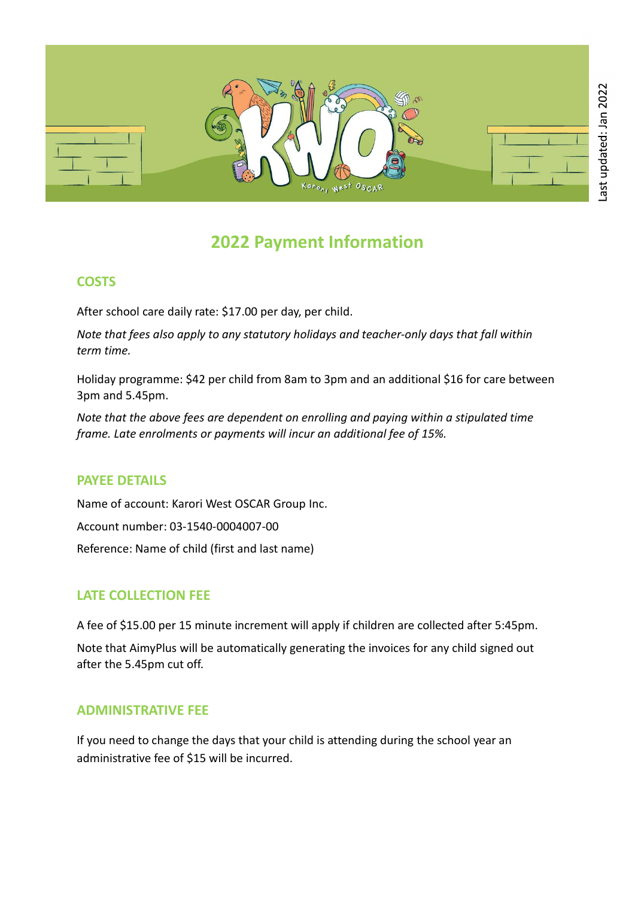

# 2022 Payment Information

# **COSTS**

After school care daily rate: \$17.00 per day, per child.

Note that fees also apply to any statutory holidays and teacher-only days that fall within term time.

Holiday programme: \$42 per child from 8am to 3pm and an additional \$16 for care between 3pm and 5.45pm.

Note that the above fees are dependent on enrolling and paying within a stipulated time frame. Late enrolments or payments will incur an additional fee of 15%.

# PAYEE DETAILS

Name of account: Karori West OSCAR Group Inc. Account number: 03-1540-0004007-00 Reference: Name of child (first and last name)

# LATE COLLECTION FEE

A fee of \$15.00 per 15 minute increment will apply if children are collected after 5:45pm.

Note that AimyPlus will be automatically generating the invoices for any child signed out after the 5.45pm cut off.

# ADMINISTRATIVE FEE

If you need to change the days that your child is attending during the school year an administrative fee of \$15 will be incurred.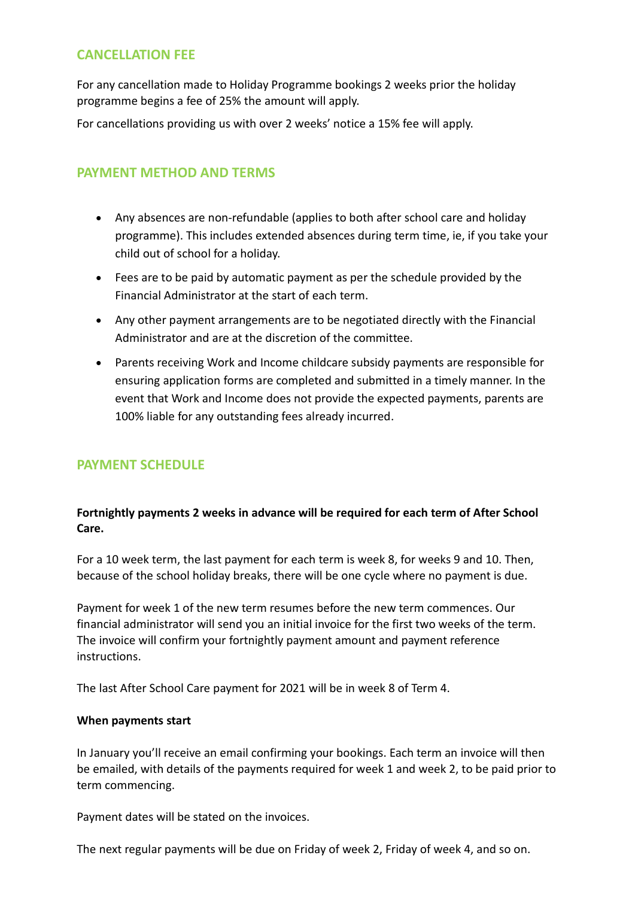### CANCELLATION FEE

For any cancellation made to Holiday Programme bookings 2 weeks prior the holiday programme begins a fee of 25% the amount will apply.

For cancellations providing us with over 2 weeks' notice a 15% fee will apply.

## PAYMENT METHOD AND TERMS

- Any absences are non-refundable (applies to both after school care and holiday programme). This includes extended absences during term time, ie, if you take your child out of school for a holiday.
- Fees are to be paid by automatic payment as per the schedule provided by the Financial Administrator at the start of each term.
- Any other payment arrangements are to be negotiated directly with the Financial Administrator and are at the discretion of the committee.
- Parents receiving Work and Income childcare subsidy payments are responsible for ensuring application forms are completed and submitted in a timely manner. In the event that Work and Income does not provide the expected payments, parents are 100% liable for any outstanding fees already incurred.

#### PAYMENT SCHEDULE

#### Fortnightly payments 2 weeks in advance will be required for each term of After School Care.

For a 10 week term, the last payment for each term is week 8, for weeks 9 and 10. Then, because of the school holiday breaks, there will be one cycle where no payment is due.

Payment for week 1 of the new term resumes before the new term commences. Our financial administrator will send you an initial invoice for the first two weeks of the term. The invoice will confirm your fortnightly payment amount and payment reference instructions.

The last After School Care payment for 2021 will be in week 8 of Term 4.

#### When payments start

In January you'll receive an email confirming your bookings. Each term an invoice will then be emailed, with details of the payments required for week 1 and week 2, to be paid prior to term commencing.

Payment dates will be stated on the invoices.

The next regular payments will be due on Friday of week 2, Friday of week 4, and so on.